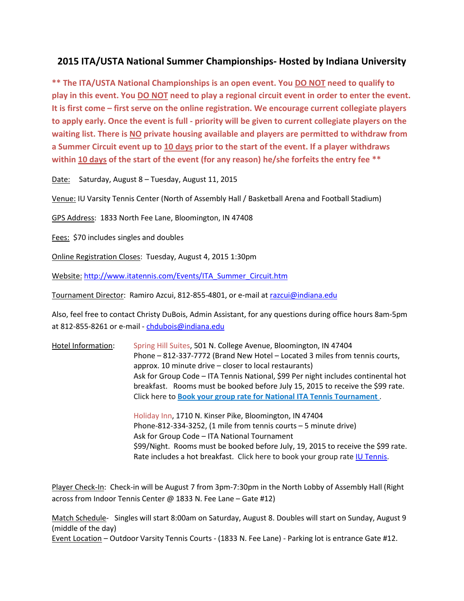## **2015 ITA/USTA National Summer Championships- Hosted by Indiana University**

**\*\* The ITA/USTA National Championships is an open event. You DO NOT need to qualify to play in this event. You DO NOT need to play a regional circuit event in order to enter the event. It is first come – first serve on the online registration. We encourage current collegiate players to apply early. Once the event is full - priority will be given to current collegiate players on the waiting list. There is NO private housing available and players are permitted to withdraw from a Summer Circuit event up to 10 days prior to the start of the event. If a player withdraws within 10 days of the start of the event (for any reason) he/she forfeits the entry fee \*\***

Date: Saturday, August 8 – Tuesday, August 11, 2015

Venue: IU Varsity Tennis Center (North of Assembly Hall / Basketball Arena and Football Stadium)

GPS Address: 1833 North Fee Lane, Bloomington, IN 47408

Fees: \$70 includes singles and doubles

Online Registration Closes: Tuesday, August 4, 2015 1:30pm

Website: [http://www.itatennis.com/Events/ITA\\_Summer\\_Circuit.htm](http://www.itatennis.com/Events/ITA_Summer_Circuit.htm)

Tournament Director: Ramiro Azcui, 812-855-4801, or e-mail at [razcui@indiana.edu](mailto:razcui@indiana.edu)

Also, feel free to contact Christy DuBois, Admin Assistant, for any questions during office hours 8am-5pm at 812-855-8261 or e-mail - [chdubois@indiana.edu](mailto:chdubois@indiana.edu)

Hotel Information: Spring Hill Suites, 501 N. College Avenue, Bloomington, IN 47404 Phone – 812-337-7772 (Brand New Hotel – Located 3 miles from tennis courts, approx. 10 minute drive – closer to local restaurants) Ask for Group Code – ITA Tennis National, \$99 Per night includes continental hot breakfast. Rooms must be booked before July 15, 2015 to receive the \$99 rate. Click here to **[Book your group rate for National ITA Tennis Tournament](http://www.marriott.com/meeting-event-hotels/group-corporate-travel/groupCorp.mi?resLinkData=National%20ITA%20Tennis%20Tournament%5Ebmgsh%60ataataa%6099.00%60USD%60false%606%608/7/15%608/11/15%607/31/15&app=resvlink&stop_mobi=yes)** .

> Holiday Inn, 1710 N. Kinser Pike, Bloomington, IN 47404 Phone-812-334-3252, (1 mile from tennis courts – 5 minute drive) Ask for Group Code – ITA National Tournament \$99/Night. Rooms must be booked before July, 19, 2015 to receive the \$99 rate. Rate includes a hot breakfast. Click here to book your group rate [IU Tennis.](http://www.holidayinn.com/redirect?path=hd&brandCode=hi&localeCode=en®ionCode=1&hotelCode=BMGKP&_PMID=99801505&GPC=IUT)

Player Check-In: Check-in will be August 7 from 3pm-7:30pm in the North Lobby of Assembly Hall (Right across from Indoor Tennis Center @ 1833 N. Fee Lane – Gate #12)

Match Schedule- Singles will start 8:00am on Saturday, August 8. Doubles will start on Sunday, August 9 (middle of the day)

Event Location – Outdoor Varsity Tennis Courts - (1833 N. Fee Lane) - Parking lot is entrance Gate #12.